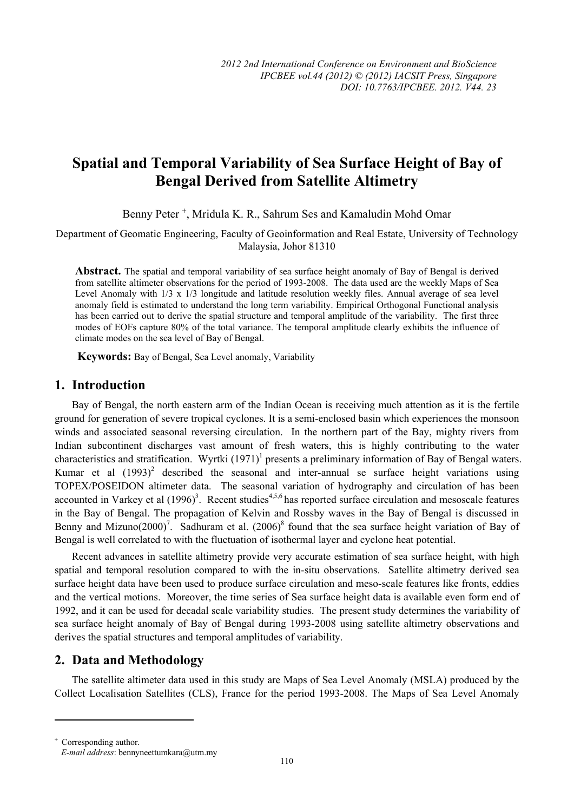# **Spatial and Temporal Variability of Sea Surface Height of Bay of Bengal Derived from Satellite Altimetry**

Benny Peter<sup>+</sup>, Mridula K. R., Sahrum Ses and Kamaludin Mohd Omar

Department of Geomatic Engineering, Faculty of Geoinformation and Real Estate, University of Technology Malaysia, Johor 81310

Abstract. The spatial and temporal variability of sea surface height anomaly of Bay of Bengal is derived from satellite altimeter observations for the period of 1993-2008. The data used are the weekly Maps of Sea Level Anomaly with 1/3 x 1/3 longitude and latitude resolution weekly files. Annual average of sea level anomaly field is estimated to understand the long term variability. Empirical Orthogonal Functional analysis has been carried out to derive the spatial structure and temporal amplitude of the variability. The first three modes of EOFs capture 80% of the total variance. The temporal amplitude clearly exhibits the influence of climate modes on the sea level of Bay of Bengal.

**Keywords:** Bay of Bengal, Sea Level anomaly, Variability

# **1. Introduction**

Bay of Bengal, the north eastern arm of the Indian Ocean is receiving much attention as it is the fertile ground for generation of severe tropical cyclones. It is a semi-enclosed basin which experiences the monsoon winds and associated seasonal reversing circulation. In the northern part of the Bay, mighty rivers from Indian subcontinent discharges vast amount of fresh waters, this is highly contributing to the water characteristics and stratification. Wyrtki  $(1971)^1$  presents a preliminary information of Bay of Bengal waters. Kumar et al  $(1993)^2$  described the seasonal and inter-annual se surface height variations using TOPEX/POSEIDON altimeter data. The seasonal variation of hydrography and circulation of has been accounted in Varkey et al  $(1996)^3$ . Recent studies<sup>4,5,6</sup> has reported surface circulation and mesoscale features in the Bay of Bengal. The propagation of Kelvin and Rossby waves in the Bay of Bengal is discussed in Benny and Mizuno(2000)<sup>7</sup>. Sadhuram et al. (2006)<sup>8</sup> found that the sea surface height variation of Bay of Bengal is well correlated to with the fluctuation of isothermal layer and cyclone heat potential.

Recent advances in satellite altimetry provide very accurate estimation of sea surface height, with high spatial and temporal resolution compared to with the in-situ observations. Satellite altimetry derived sea surface height data have been used to produce surface circulation and meso-scale features like fronts, eddies and the vertical motions. Moreover, the time series of Sea surface height data is available even form end of 1992, and it can be used for decadal scale variability studies. The present study determines the variability of sea surface height anomaly of Bay of Bengal during 1993-2008 using satellite altimetry observations and derives the spatial structures and temporal amplitudes of variability.

# **2. Data and Methodology**

 $\overline{a}$ 

The satellite altimeter data used in this study are Maps of Sea Level Anomaly (MSLA) produced by the Collect Localisation Satellites (CLS), France for the period 1993-2008. The Maps of Sea Level Anomaly

<sup>+</sup> Corresponding author. *E-mail address*: bennyneettumkara@utm.my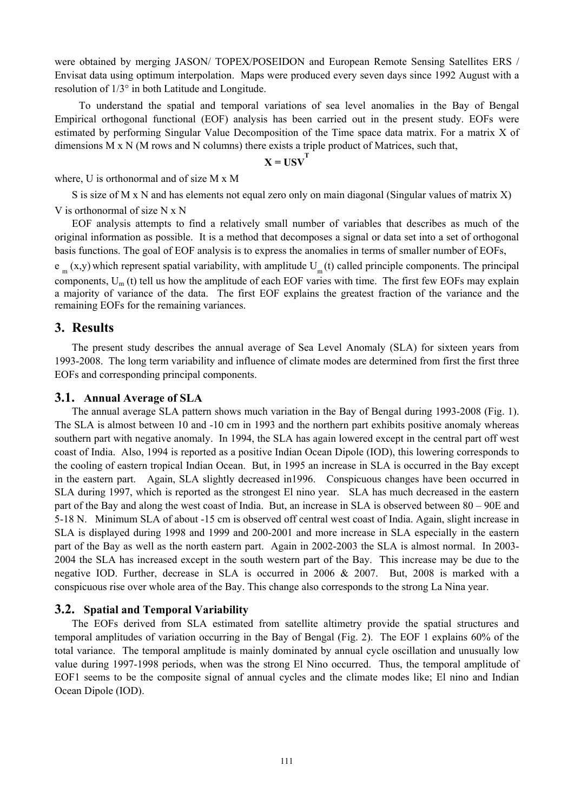were obtained by merging JASON/ TOPEX/POSEIDON and European Remote Sensing Satellites ERS / Envisat data using optimum interpolation. Maps were produced every seven days since 1992 August with a resolution of 1/3° in both Latitude and Longitude.

 To understand the spatial and temporal variations of sea level anomalies in the Bay of Bengal Empirical orthogonal functional (EOF) analysis has been carried out in the present study. EOFs were estimated by performing Singular Value Decomposition of the Time space data matrix. For a matrix X of dimensions M x N (M rows and N columns) there exists a triple product of Matrices, such that,

$$
X = USV^{T}
$$

where, U is orthonormal and of size M x M

S is size of M x N and has elements not equal zero only on main diagonal (Singular values of matrix X) V is orthonormal of size N x N

EOF analysis attempts to find a relatively small number of variables that describes as much of the original information as possible. It is a method that decomposes a signal or data set into a set of orthogonal basis functions. The goal of EOF analysis is to express the anomalies in terms of smaller number of EOFs,

 $e_m(x,y)$  which represent spatial variability, with amplitude  $U_m(t)$  called principle components. The principal components,  $U_m(t)$  tell us how the amplitude of each EOF varies with time. The first few EOFs may explain a majority of variance of the data. The first EOF explains the greatest fraction of the variance and the remaining EOFs for the remaining variances.

### **3. Results**

The present study describes the annual average of Sea Level Anomaly (SLA) for sixteen years from 1993-2008. The long term variability and influence of climate modes are determined from first the first three EOFs and corresponding principal components.

#### **3.1. Annual Average of SLA**

The annual average SLA pattern shows much variation in the Bay of Bengal during 1993-2008 (Fig. 1). The SLA is almost between 10 and -10 cm in 1993 and the northern part exhibits positive anomaly whereas southern part with negative anomaly. In 1994, the SLA has again lowered except in the central part off west coast of India. Also, 1994 is reported as a positive Indian Ocean Dipole (IOD), this lowering corresponds to the cooling of eastern tropical Indian Ocean. But, in 1995 an increase in SLA is occurred in the Bay except in the eastern part. Again, SLA slightly decreased in1996. Conspicuous changes have been occurred in SLA during 1997, which is reported as the strongest El nino year. SLA has much decreased in the eastern part of the Bay and along the west coast of India. But, an increase in SLA is observed between 80 – 90E and 5-18 N. Minimum SLA of about -15 cm is observed off central west coast of India. Again, slight increase in SLA is displayed during 1998 and 1999 and 200-2001 and more increase in SLA especially in the eastern part of the Bay as well as the north eastern part. Again in 2002-2003 the SLA is almost normal. In 2003- 2004 the SLA has increased except in the south western part of the Bay. This increase may be due to the negative IOD. Further, decrease in SLA is occurred in 2006 & 2007. But, 2008 is marked with a conspicuous rise over whole area of the Bay. This change also corresponds to the strong La Nina year.

### **3.2. Spatial and Temporal Variability**

The EOFs derived from SLA estimated from satellite altimetry provide the spatial structures and temporal amplitudes of variation occurring in the Bay of Bengal (Fig. 2). The EOF 1 explains 60% of the total variance. The temporal amplitude is mainly dominated by annual cycle oscillation and unusually low value during 1997-1998 periods, when was the strong El Nino occurred. Thus, the temporal amplitude of EOF1 seems to be the composite signal of annual cycles and the climate modes like; El nino and Indian Ocean Dipole (IOD).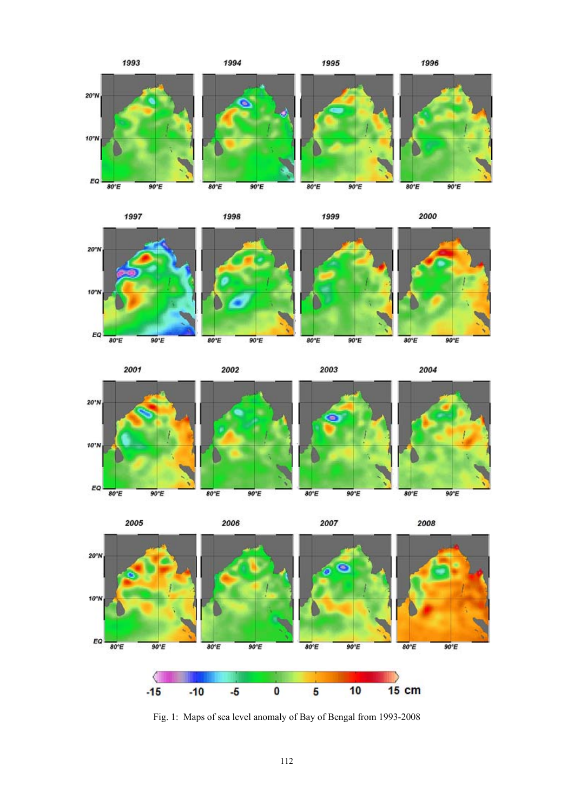



















Fig. 1: Maps of sea level anomaly of Bay of Bengal from 1993-2008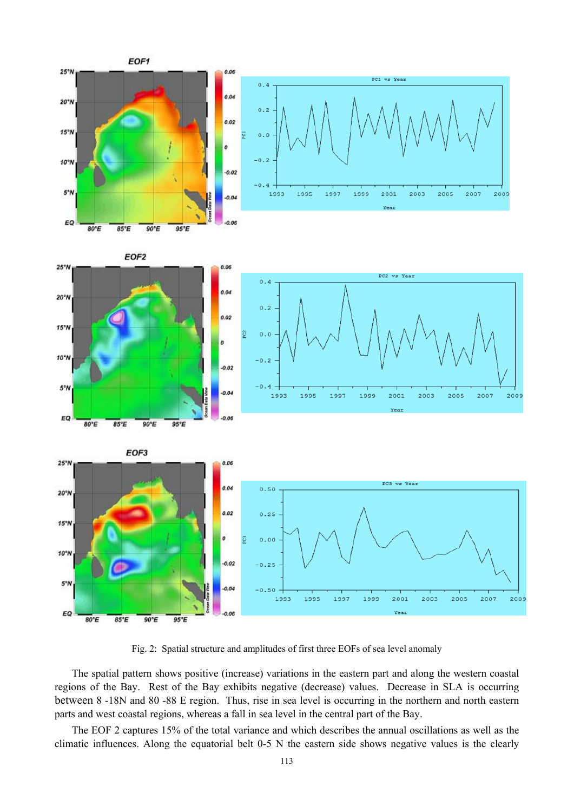





Fig. 2: Spatial structure and amplitudes of first three EOFs of sea level anomaly

The spatial pattern shows positive (increase) variations in the eastern part and along the western coastal regions of the Bay. Rest of the Bay exhibits negative (decrease) values. Decrease in SLA is occurring between 8 -18N and 80 -88 E region. Thus, rise in sea level is occurring in the northern and north eastern parts and west coastal regions, whereas a fall in sea level in the central part of the Bay.

The EOF 2 captures 15% of the total variance and which describes the annual oscillations as well as the climatic influences. Along the equatorial belt 0-5 N the eastern side shows negative values is the clearly